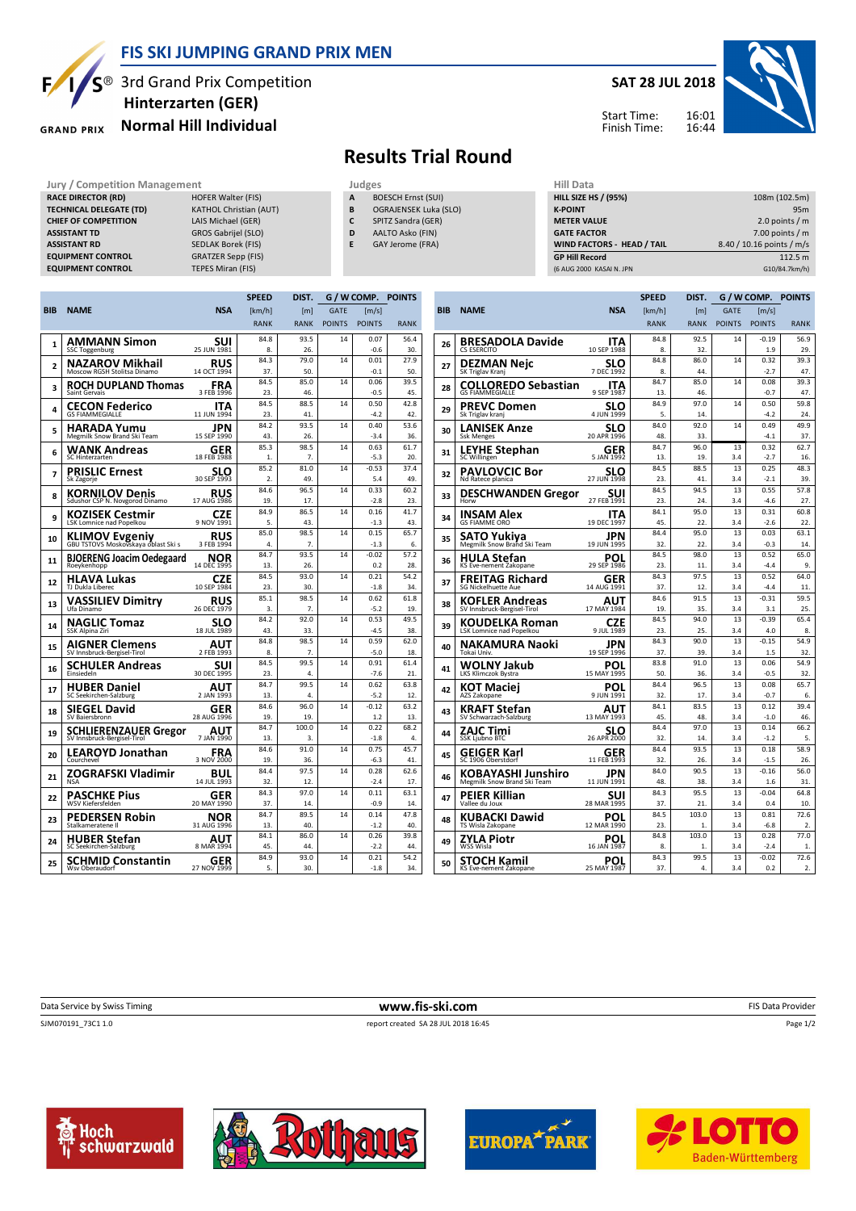

### **FIS SKI JUMPING GRAND PRIX MEN**

**GRAND PRIX** 

## S<sup>®</sup> 3rd Grand Prix Competition **Normal Hill Individual Hinterzarten (GER)**

#### **SAT 28 JUL 2018**



Start Time: Finish Time:

# **Results Trial Round**

- **A** BOESCH Ernst (SUI)
- **B** OGRAJENSEK Luka (SLO) **C** SPITZ Sandra (GER)
- **D** AALTO Asko (FIN)
- **E** GAY Jerome (FRA)

| Jury / Competition Management  |                               |   | Judges                    | Hill Data                   |                           |  |
|--------------------------------|-------------------------------|---|---------------------------|-----------------------------|---------------------------|--|
| <b>RACE DIRECTOR (RD)</b>      | HOFER Walter (FIS)            | A | <b>BOESCH Ernst (SUI)</b> | <b>HILL SIZE HS / (95%)</b> | 108m (102.5m)             |  |
| <b>TECHNICAL DELEGATE (TD)</b> | <b>KATHOL Christian (AUT)</b> | B | OGRAJENSEK Luka (SLO)     | <b>K-POINT</b>              | 95 <sub>m</sub>           |  |
| <b>CHIEF OF COMPETITION</b>    | LAIS Michael (GER)            | C | SPITZ Sandra (GER)        | <b>METER VALUE</b>          | 2.0 points $/m$           |  |
| <b>ASSISTANT TD</b>            | GROS Gabrijel (SLO)           | D | AALTO Asko (FIN)          | <b>GATE FACTOR</b>          | 7.00 points $/m$          |  |
| <b>ASSISTANT RD</b>            | SEDLAK Borek (FIS)            |   | GAY Jerome (FRA)          | WIND FACTORS - HEAD / TAIL  | 8.40 / 10.16 points / m/s |  |
| <b>EQUIPMENT CONTROL</b>       | <b>GRATZER Sepp (FIS)</b>     |   |                           | <b>GP Hill Record</b>       | 112.5 m                   |  |
| <b>EQUIPMENT CONTROL</b>       | TEPES Miran (FIS)             |   |                           | (6 AUG 2000 KASAI N. JPN    | G10/84.7km/h)             |  |

|                |                                                             |                           | <b>SPEED</b> | DIST.          |               | G / W COMP. POINTS |             |
|----------------|-------------------------------------------------------------|---------------------------|--------------|----------------|---------------|--------------------|-------------|
| <b>BIB</b>     | <b>NAME</b>                                                 | <b>NSA</b>                | [km/h]       | [m]            | <b>GATE</b>   | [m/s]              |             |
|                |                                                             |                           | <b>RANK</b>  | <b>RANK</b>    | <b>POINTS</b> | <b>POINTS</b>      | <b>RANK</b> |
| $\mathbf{1}$   | <b>AMMANN Simon</b>                                         | SUI                       | 84.8         | 93.5           | 14            | 0.07               | 56.4        |
|                | <b>SSC Toggenburg</b>                                       | 25 JUN 1981               | 8.           | 26.            |               | $-0.6$             | 30.         |
| $\overline{2}$ | <b>NAZAROV Mikhail</b><br>Moscow RGSH Stolitsa Dinamo       | RUS<br>14 OCT 1994        | 84.3<br>37.  | 79.0<br>50.    | 14            | 0.01<br>$-0.1$     | 27.9<br>50. |
|                |                                                             |                           | 84.5         | 85.0           | 14            | 0.06               | 39.5        |
| 3              | <b>ROCH DUPLAND Thomas</b><br>Saint Gervais                 | FRA<br>3 FEB 1996         | 23.          | 46.            |               | $-0.5$             | 45.         |
| 4              | CECON Federico<br><b>GS FIAMMEGIALLE</b>                    | ITA<br>11 JUN 1994        | 84.5<br>23.  | 88.5<br>41.    | 14            | 0.50<br>$-4.2$     | 42.8<br>42. |
| 5              | <b>HARADA Yumu</b>                                          | JPN                       | 84.2         | 93.5           | 14            | 0.40               | 53.6        |
|                | Megmilk Snow Brand Ski Team                                 | 15 SEP 1990               | 43.          | 26.            |               | $-3.4$             | 36.         |
| 6              | WANK Andreas<br>SC Hinterzarten                             | <b>GER</b><br>18 FEB 1988 | 85.3<br>1.   | 98.5<br>7.     | 14            | 0.63<br>$-5.3$     | 61.7<br>20. |
| $\overline{7}$ | <b>PRISLIC Ernest</b>                                       | SLO                       | 85.2         | 81.0           | 14            | $-0.53$            | 37.4        |
|                | Sk Zagorje                                                  | 30 SEP 1993               | 2.           | 49.            |               | 5.4                | 49.         |
| 8              | <b>KORNILOV Denis</b>                                       | RUS                       | 84.6<br>19.  | 96.5<br>17.    | 14            | 0.33               | 60.2        |
|                | Sdushor CSP N. Novgorod Dinamo                              | 17 AUG 1986               | 84.9         | 86.5           | 14            | $-2.8$<br>0.16     | 23.<br>41.7 |
| 9              | KOZISEK Cestmir<br><b>LSK Lomnice nad Popelkou</b>          | CZE<br>9 NOV 1991         | 5.           | 43.            |               | $-1.3$             | 43.         |
|                |                                                             | RUS                       | 85.0         | 98.5           | 14            | 0.15               | 65.7        |
| 10             | KLIMOV Evgeniy<br>GBU TSTOVS Moskovskaya oblast Ski s       | 3 FEB 1994                | 4            | $\overline{ }$ |               | $-1.3$             | 6.          |
| 11             | <b>BJOERENG Joacim Oedegaard</b>                            | NOR                       | 84.7         | 93.5           | 14            | $-0.02$            | 57.2        |
|                | Roeykenhopp                                                 | 14 DEC 1995               | 13.<br>84.5  | 26.<br>93.0    | 14            | 0.2<br>0.21        | 28.<br>54.2 |
| 12             | <b>HLAVA Lukas</b><br>TJ Dukla Liberec                      | <b>CZE</b><br>10 SEP 1984 | 23.          | 30.            |               | $-1.8$             | 34.         |
|                | VASSILIEV Dimitry                                           | <b>RUS</b>                | 85.1         | 98.5           | 14            | 0.62               | 61.8        |
| 13             | Ufa Dinamo                                                  | 26 DEC 1979               | 3.           | 7.             |               | $-5.2$             | 19.         |
| 14             | <b>NAGLIC Tomaz</b>                                         | SLO                       | 84.2         | 92.0           | 14            | 0.53               | 49.5        |
|                | SSK Alpina Ziri                                             | 18 JUL 1989               | 43.          | 33.            |               | $-4.5$             | 38.         |
| 15             | AIGNER Clemens<br>SV Innsbruck-Bergisel-Tirol               | AUT<br>2 FEB 1993         | 84.8<br>8.   | 98.5<br>7.     | 14            | 0.59<br>$-5.0$     | 62.0<br>18. |
| 16             | <b>SCHULER Andreas</b>                                      | <b>SUI</b><br>30 DEC 1995 | 84.5         | 99.5           | 14            | 0.91               | 61.4        |
|                |                                                             |                           | 23.<br>84.7  | 4.<br>99.5     | 14            | $-7.6$<br>0.62     | 21.<br>63.8 |
| 17             | <b>HUBER Daniel</b><br>SC Seekirchen-Salzburg               | AUT<br>2 JAN 1993         | 13.          | 4.             |               | $-5.2$             | 12.         |
|                | <b>SIEGEL David</b>                                         | <b>GER</b>                | 84.6         | 96.0           | 14            | $-0.12$            | 63.2        |
| 18             | SV Baiersbronn                                              | 28 AUG 1996               | 19.          | 19.            |               | 1.2                | 13.         |
| 19             | <b>SCHLIERENZAUER Gregor</b><br>SV Innsbruck-Bergisel-Tirol | AUT<br>7 JAN 1990         | 84.7<br>13.  | 100.0<br>3.    | 14            | 0.22<br>$-1.8$     | 68.2<br>4.  |
| 20             | <b>LEAROYD Jonathan</b>                                     | FRA                       | 84.6         | 91.0           | 14            | 0.75               | 45.7        |
|                | Courchevel                                                  | 3 NOV 2000                | 19.          | 36.            |               | $-6.3$             | 41.         |
| 21             | ZOGRAFSKI Vladimir<br><b>NSA</b>                            | BUL                       | 84.4         | 97.5           | 14            | 0.28               | 62.6        |
|                |                                                             | 14 JUL 1993               | 32.<br>84.3  | 12.<br>97.0    | 14            | $-2.4$<br>0.11     | 17.<br>63.1 |
| 22             | <b>PASCHKE Pius</b><br><b>WSV Kiefersfelden</b>             | <b>GER</b><br>20 MAY 1990 | 37.          | 14             |               | $-0.9$             | 14          |
| 23             | PEDERSEN Robin                                              | NOR                       | 84.7         | 89.5           | 14            | 0.14               | 47.8        |
|                | Stalkameratene II                                           | 31 AUG 1996               | 13.          | 40.            |               | $-1.2$             | 40.         |
| 24             | <b>HUBER Stefan</b>                                         | AUT                       | 84.1<br>45.  | 86.0<br>44     | 14            | 0.26<br>$-22$      | 39.8<br>44  |
|                | SC Seekirchen-Salzburg                                      | 8 MAR 1994                | 84.9         | 93.0           | 14            | 0.21               | 54.2        |
| 25             | SCHMID Constantin<br>Wsv Oberaudorf                         | GER<br>27 NOV 1999        | 5.           | 30             |               | $-1.8$             | 34.         |
|                |                                                             |                           |              |                |               |                    |             |

|     |                                                      |                    | <b>SPEED</b> | DIST.       |               | G / W COMP.                                                                                                                                                                                                                                                                                                                                                | <b>POINTS</b> |
|-----|------------------------------------------------------|--------------------|--------------|-------------|---------------|------------------------------------------------------------------------------------------------------------------------------------------------------------------------------------------------------------------------------------------------------------------------------------------------------------------------------------------------------------|---------------|
| BIB | <b>NAME</b>                                          | NSA                | [km/h]       | [ml]        | <b>GATE</b>   | $\lfloor m/s \rfloor$                                                                                                                                                                                                                                                                                                                                      |               |
|     |                                                      |                    | <b>RANK</b>  | <b>RANK</b> | <b>POINTS</b> | <b>POINTS</b>                                                                                                                                                                                                                                                                                                                                              | <b>RANK</b>   |
| 26  | <b>BRESADOLA Davide</b>                              | ITA                | 84.8         | 92.5        | 14            | $-0.19$                                                                                                                                                                                                                                                                                                                                                    | 56.9          |
|     | <b>CS ESERCITO</b>                                   | 10 SEP 1988        | 8.           | 32.         |               | 1.9                                                                                                                                                                                                                                                                                                                                                        | 29.           |
| 27  | DEZMAN Neic                                          | <b>SLO</b>         | 84.8         | 86.0        | 14            |                                                                                                                                                                                                                                                                                                                                                            | 39.3          |
|     | SK Triglav Kranj                                     | 7 DEC 1992         | 8.           | 44.         |               | $-2.7$                                                                                                                                                                                                                                                                                                                                                     | 47.           |
| 28  | <b>COLLOREDO Sebastian</b><br><b>GS FIAMMEGIALLE</b> | ITA<br>9 SEP 1987  | 84.7<br>13.  | 85.0<br>46. | 14            | 0.08<br>$-0.7$                                                                                                                                                                                                                                                                                                                                             | 39.3<br>47.   |
|     | PREVC Domen                                          | SLO                | 84.9         | 97.0        | 14            | 0.50                                                                                                                                                                                                                                                                                                                                                       | 59.8          |
| 29  | Sk Triglav kranj                                     | 4 JUN 1999         | 5.           | 14          |               | $-42$                                                                                                                                                                                                                                                                                                                                                      | 24            |
|     | LANISEK Anze                                         | SLO                | 84.0         | 92.0        | 14            | 0.49                                                                                                                                                                                                                                                                                                                                                       | 49.9          |
| 30  | <b>Ssk Menges</b>                                    | 20 APR 1996        | 48.          | 33.         |               | $-4.1$                                                                                                                                                                                                                                                                                                                                                     | 37.           |
| 31  | LEYHE Stephan                                        | GER                | 84.7         | 96.0        | 13            | 0.32                                                                                                                                                                                                                                                                                                                                                       | 62.7          |
|     | SC Willingen                                         | 5 JAN 1992         | 13.          | 19.         | 3.4           | $-2.7$                                                                                                                                                                                                                                                                                                                                                     | 16.           |
| 32  | <b>PAVLOVCIC Bor</b>                                 | <b>SLO</b>         | 84.5         | 88.5        | 13            | 0.32<br>0.25<br>$-2.1$<br>0.55<br>$-4.6$<br>0.31<br>$-2.6$<br>0.03<br>$-0.3$<br>0.52<br>$-4.4$<br>0.52<br>$-4.4$<br>$-0.31$<br>3.1<br>$-0.39$<br>4.0<br>$-0.15$<br>1.5<br>0.06<br>$-0.5$<br>0.08<br>$-0.7$<br>0.12<br>$-1.0$<br>0.14<br>$-1.2$<br>0.18<br>$-1.5$<br>$-0.16$<br>1.6<br>$-0.04$<br>0.4<br>0.81<br>$-6.8$<br>0.28<br>$-2.4$<br>$-0.02$<br>0.2 | 48.3          |
|     | Nd Ratece planica                                    | 27 JUN 1998        | 23.          | 41.         | 3.4           |                                                                                                                                                                                                                                                                                                                                                            | 39.           |
| 33  | <b>DESCHWANDEN Gregor</b>                            | SUI                | 84.5         | 94.5        | 13            |                                                                                                                                                                                                                                                                                                                                                            | 57.8          |
|     | Horw                                                 | 27 FEB 1991        | 23.          | 24          | 3.4           |                                                                                                                                                                                                                                                                                                                                                            | 27.           |
| 34  | INSAM Alex                                           | ITA                | 84.1         | 95.0        | 13            |                                                                                                                                                                                                                                                                                                                                                            | 60.8          |
|     | <b>GS FIAMME ORO</b>                                 | 19 DEC 1997        | 45.          | 22.         | 3.4           |                                                                                                                                                                                                                                                                                                                                                            | 22.           |
| 35  | SATO Yukiva                                          | JPN                | 84.4         | 95.0        | 13            |                                                                                                                                                                                                                                                                                                                                                            | 63.1          |
|     | Megmilk Snow Brand Ski Team                          | 19 JUN 1995        | 32.          | 22.         | 3.4           |                                                                                                                                                                                                                                                                                                                                                            | 14.           |
| 36  | HULA Stefan                                          | POL                | 84.5         | 98.0        | 13            |                                                                                                                                                                                                                                                                                                                                                            | 65.0          |
|     | KS Eve-nement Zakopane                               | 29 SEP 1986        | つつ           | 11          | 34            |                                                                                                                                                                                                                                                                                                                                                            | 9.            |
| 37  | FREITAG Richard                                      | GER<br>14 AUG 1991 | 84.3<br>37.  | 97.5<br>12. | 13<br>3.4     |                                                                                                                                                                                                                                                                                                                                                            | 64.0          |
|     | <b>SG Nickelhuette Aue</b>                           |                    | 84.6         | 91.5        | 13            |                                                                                                                                                                                                                                                                                                                                                            | 11.<br>59.5   |
| 38  | <b>KOFLER Andreas</b><br>SV Innsbruck-Bergisel-Tirol | AUT<br>17 MAY 1984 | 19.          | 35.         | 3.4           |                                                                                                                                                                                                                                                                                                                                                            | 25.           |
|     |                                                      |                    | 84.5         | 94.0        | 13            |                                                                                                                                                                                                                                                                                                                                                            | 65.4          |
| 39  | KOUDELKA Roman<br>LSK Lomnice nad Popelkou           | CZE<br>9 JUL 1989  | 23.          | 25.         | 3.4           |                                                                                                                                                                                                                                                                                                                                                            | 8.            |
| 40  | NAKAMURA Naoki                                       | JPN                | 84.3         | 90.0        | 13            |                                                                                                                                                                                                                                                                                                                                                            | 54.9          |
|     | Tokai Univ.                                          | 19 SEP 1996        | 37.          | 39.         | 3.4           |                                                                                                                                                                                                                                                                                                                                                            | 32.           |
| 41  | WOLNY Jakub                                          | POL                | 83.8         | 91.0        | 13            |                                                                                                                                                                                                                                                                                                                                                            | 54.9          |
|     | <b>LKS Klimczok Bystra</b>                           | 15 MAY 1995        | 50.          | 36.         | 3.4           |                                                                                                                                                                                                                                                                                                                                                            | 32.           |
| 42  | KOT Maciei                                           | POL                | 84.4         | 96.5        | 13            |                                                                                                                                                                                                                                                                                                                                                            | 65.7          |
|     | AZS Zakopane                                         | 9 JUN 1991         | 32.          | 17.         | 3.4           |                                                                                                                                                                                                                                                                                                                                                            | 6.            |
| 43  | KRAFT Stefan<br>SV Schwarzach-Salzburg               | AUT<br>13 MAY 1993 | 84.1<br>45.  | 83.5<br>48. | 13<br>3.4     |                                                                                                                                                                                                                                                                                                                                                            | 39.4<br>46.   |
|     |                                                      |                    | 84.4         | 97.0        | 13            |                                                                                                                                                                                                                                                                                                                                                            | 66.2          |
| 44  | ZAJC Timi<br>SSK Ljubno BTC                          | SLO<br>26 APR 2000 | 32.          | 14.         | 3.4           |                                                                                                                                                                                                                                                                                                                                                            | 5.            |
|     |                                                      |                    | 84.4         | 93.5        | 13            |                                                                                                                                                                                                                                                                                                                                                            | 58.9          |
| 45  | GEIGER Karl<br>SC 1906 Oberstdorf                    | GER<br>11 FEB 1993 | 32.          | 26.         | 3.4           |                                                                                                                                                                                                                                                                                                                                                            | 26.           |
|     |                                                      |                    | 84.0         | 90.5        | 13            |                                                                                                                                                                                                                                                                                                                                                            | 56.0          |
| 46  | KOBAYASHI Junshiro<br>Megmilk Snow Brand Ski Team    | JPN<br>11 JUN 1991 | 48.          | 38.         | 3.4           |                                                                                                                                                                                                                                                                                                                                                            | 31.           |
|     | PEIER Killian                                        | suı                | 84.3         | 95.5        | 13            |                                                                                                                                                                                                                                                                                                                                                            | 64.8          |
| 47  | Vallee du Joux                                       | 28 MAR 1995        | 37.          | 21.         | 3.4           |                                                                                                                                                                                                                                                                                                                                                            | 10.           |
|     | KUBACKI Dawid                                        | POL                | 84.5         | 103.0       | 13            |                                                                                                                                                                                                                                                                                                                                                            | 72.6          |
| 48  | TS Wisla Zakopane                                    | 12 MAR 1990        | 23.          | 1.          | 3.4           |                                                                                                                                                                                                                                                                                                                                                            | 2.            |
| 49  | ZYLA Piotr                                           | POL                | 84.8         | 103.0       | 13            |                                                                                                                                                                                                                                                                                                                                                            | 77.0          |
|     | WSS Wisla                                            | 16 JAN 1987        | 8.           | 1.          | 3.4           |                                                                                                                                                                                                                                                                                                                                                            | 1.            |
| 50  | <b>STOCH Kamil</b>                                   | POL                | 84.3         | 99.5        | 13            |                                                                                                                                                                                                                                                                                                                                                            | 72.6          |
|     | KS Eve-nement Zakopane                               | 25 MAY 1987        | 37.          | 4.          | 3.4           |                                                                                                                                                                                                                                                                                                                                                            | 2.            |

**Data Service by Swiss Timing** FIS Data Provider **www.fis-ski.com** FIS Data Provider

SJM070191\_73C1 1.0 report created SA 28 JUL 2018 16:45

Page 1/2